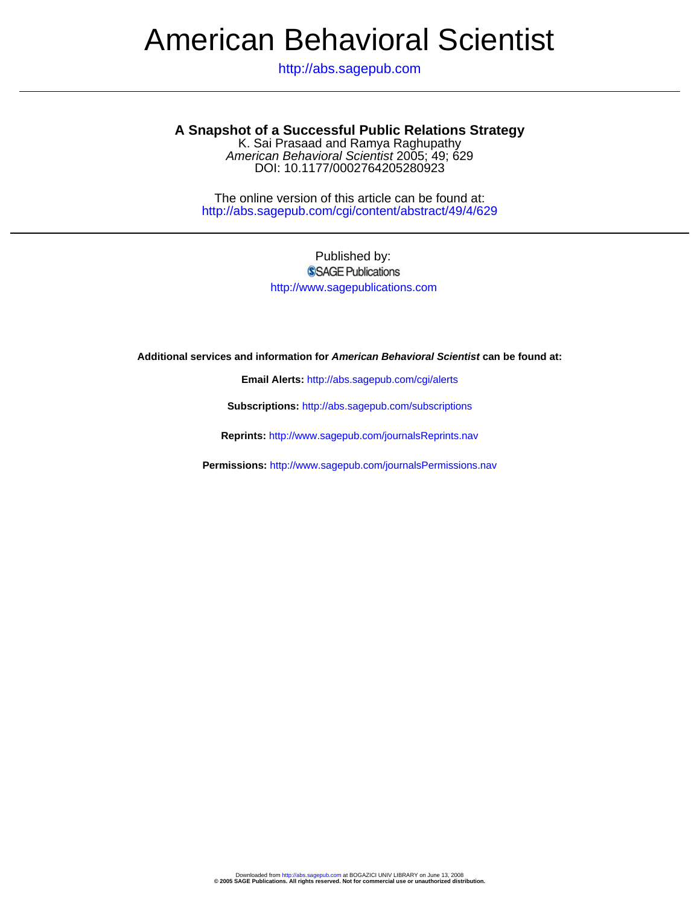# American Behavioral Scientist

http://abs.sagepub.com

## **A Snapshot of a Successful Public Relations Strategy**

DOI: 10.1177/0002764205280923 American Behavioral Scientist 2005; 49; 629 K. Sai Prasaad and Ramya Raghupathy

http://abs.sagepub.com/cgi/content/abstract/49/4/629 The online version of this article can be found at:

### Published by: SSAGE Publications http://www.sagepublications.com

**Additional services and information for American Behavioral Scientist can be found at:**

**Email Alerts:** <http://abs.sagepub.com/cgi/alerts>

**Subscriptions:** <http://abs.sagepub.com/subscriptions>

**Reprints:** <http://www.sagepub.com/journalsReprints.nav>

**Permissions:** <http://www.sagepub.com/journalsPermissions.nav>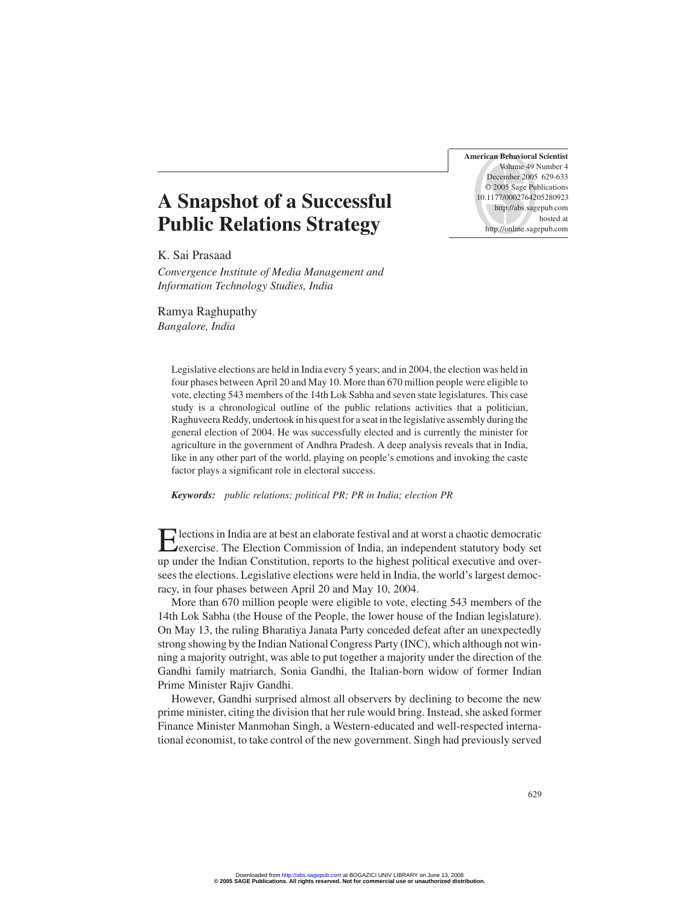**American Behavioral Scientist** Volume 49 Number 4 December 2005 629-633 © 2005 Sage Publications 10.1177/0002764205280923 http://abs.sagepub.com hosted at http://online.sagepub.com

# **A Snapshot of a Successful Public Relations Strategy**

K. Sai Prasaad

*Convergence Institute of Media Management and Information Technology Studies, India*

Ramya Raghupathy *Bangalore, India*

> Legislative elections are held in India every 5 years; and in 2004, the election was held in four phases between April 20 and May 10. More than 670 million people were eligible to vote, electing 543 members of the 14th Lok Sabha and seven state legislatures. This case study is a chronological outline of the public relations activities that a politician, Raghuveera Reddy, undertook in his quest for a seat in the legislative assembly during the general election of 2004. He was successfully elected and is currently the minister for agriculture in the government of Andhra Pradesh. A deep analysis reveals that in India, like in any other part of the world, playing on people's emotions and invoking the caste factor plays a significant role in electoral success.

*Keywords: public relations; political PR; PR in India; election PR*

Elections in India are at best an elaborate festival and at worst a chaotic democratic exercise. The Election Commission of India, an independent statutory body set up under the Indian Constitution, reports to the highest political executive and oversees the elections. Legislative elections were held in India, the world's largest democracy, in four phases between April 20 and May 10, 2004.

More than 670 million people were eligible to vote, electing 543 members of the 14th Lok Sabha (the House of the People, the lower house of the Indian legislature). On May 13, the ruling Bharatiya Janata Party conceded defeat after an unexpectedly strong showing by the Indian National Congress Party (INC), which although not winning a majority outright, was able to put together a majority under the direction of the Gandhi family matriarch, Sonia Gandhi, the Italian-born widow of former Indian Prime Minister Rajiv Gandhi.

However, Gandhi surprised almost all observers by declining to become the new prime minister, citing the division that her rule would bring. Instead, she asked former Finance Minister Manmohan Singh, a Western-educated and well-respected international economist, to take control of the new government. Singh had previously served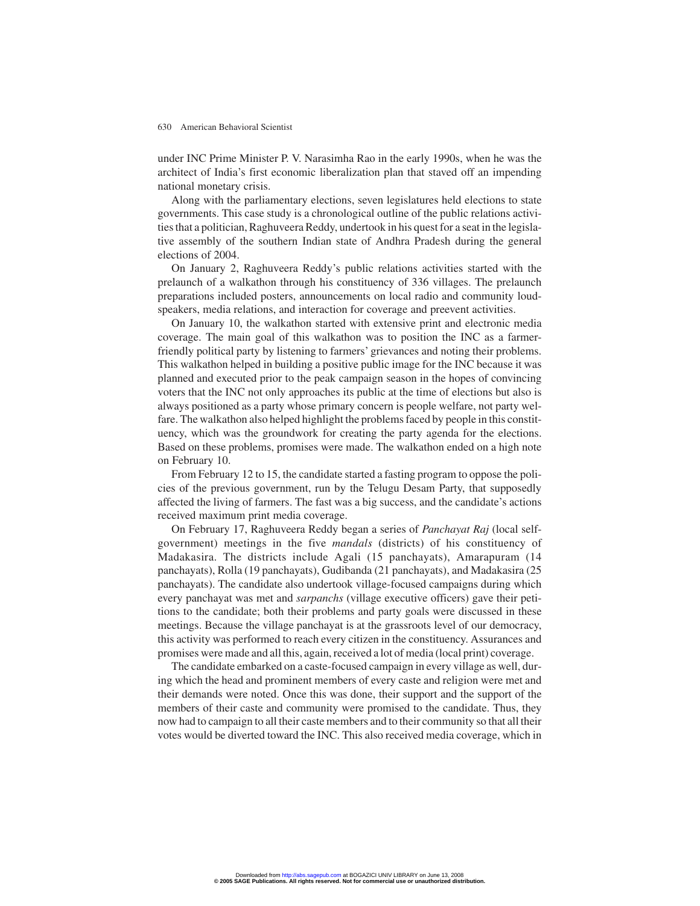#### 630 American Behavioral Scientist

under INC Prime Minister P. V. Narasimha Rao in the early 1990s, when he was the architect of India's first economic liberalization plan that staved off an impending national monetary crisis.

Along with the parliamentary elections, seven legislatures held elections to state governments. This case study is a chronological outline of the public relations activities that a politician, Raghuveera Reddy, undertook in his quest for a seat in the legislative assembly of the southern Indian state of Andhra Pradesh during the general elections of 2004.

On January 2, Raghuveera Reddy's public relations activities started with the prelaunch of a walkathon through his constituency of 336 villages. The prelaunch preparations included posters, announcements on local radio and community loudspeakers, media relations, and interaction for coverage and preevent activities.

On January 10, the walkathon started with extensive print and electronic media coverage. The main goal of this walkathon was to position the INC as a farmerfriendly political party by listening to farmers' grievances and noting their problems. This walkathon helped in building a positive public image for the INC because it was planned and executed prior to the peak campaign season in the hopes of convincing voters that the INC not only approaches its public at the time of elections but also is always positioned as a party whose primary concern is people welfare, not party welfare. The walkathon also helped highlight the problems faced by people in this constituency, which was the groundwork for creating the party agenda for the elections. Based on these problems, promises were made. The walkathon ended on a high note on February 10.

From February 12 to 15, the candidate started a fasting program to oppose the policies of the previous government, run by the Telugu Desam Party, that supposedly affected the living of farmers. The fast was a big success, and the candidate's actions received maximum print media coverage.

On February 17, Raghuveera Reddy began a series of *Panchayat Raj* (local selfgovernment) meetings in the five *mandals* (districts) of his constituency of Madakasira. The districts include Agali (15 panchayats), Amarapuram (14 panchayats), Rolla (19 panchayats), Gudibanda (21 panchayats), and Madakasira (25 panchayats). The candidate also undertook village-focused campaigns during which every panchayat was met and *sarpanchs* (village executive officers) gave their petitions to the candidate; both their problems and party goals were discussed in these meetings. Because the village panchayat is at the grassroots level of our democracy, this activity was performed to reach every citizen in the constituency. Assurances and promises were made and all this, again, received a lot of media (local print) coverage.

The candidate embarked on a caste-focused campaign in every village as well, during which the head and prominent members of every caste and religion were met and their demands were noted. Once this was done, their support and the support of the members of their caste and community were promised to the candidate. Thus, they now had to campaign to all their caste members and to their community so that all their votes would be diverted toward the INC. This also received media coverage, which in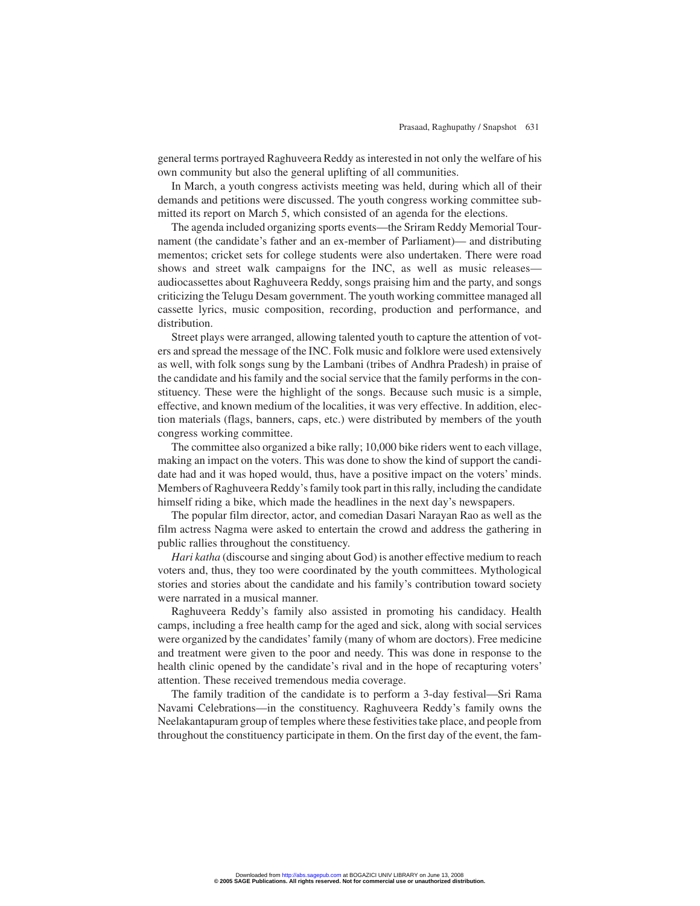general terms portrayed Raghuveera Reddy as interested in not only the welfare of his own community but also the general uplifting of all communities.

In March, a youth congress activists meeting was held, during which all of their demands and petitions were discussed. The youth congress working committee submitted its report on March 5, which consisted of an agenda for the elections.

The agenda included organizing sports events—the Sriram Reddy Memorial Tournament (the candidate's father and an ex-member of Parliament)— and distributing mementos; cricket sets for college students were also undertaken. There were road shows and street walk campaigns for the INC, as well as music releases audiocassettes about Raghuveera Reddy, songs praising him and the party, and songs criticizing the Telugu Desam government. The youth working committee managed all cassette lyrics, music composition, recording, production and performance, and distribution.

Street plays were arranged, allowing talented youth to capture the attention of voters and spread the message of the INC. Folk music and folklore were used extensively as well, with folk songs sung by the Lambani (tribes of Andhra Pradesh) in praise of the candidate and his family and the social service that the family performs in the constituency. These were the highlight of the songs. Because such music is a simple, effective, and known medium of the localities, it was very effective. In addition, election materials (flags, banners, caps, etc.) were distributed by members of the youth congress working committee.

The committee also organized a bike rally; 10,000 bike riders went to each village, making an impact on the voters. This was done to show the kind of support the candidate had and it was hoped would, thus, have a positive impact on the voters' minds. Members of Raghuveera Reddy's family took part in this rally, including the candidate himself riding a bike, which made the headlines in the next day's newspapers.

The popular film director, actor, and comedian Dasari Narayan Rao as well as the film actress Nagma were asked to entertain the crowd and address the gathering in public rallies throughout the constituency.

*Hari katha* (discourse and singing about God) is another effective medium to reach voters and, thus, they too were coordinated by the youth committees. Mythological stories and stories about the candidate and his family's contribution toward society were narrated in a musical manner.

Raghuveera Reddy's family also assisted in promoting his candidacy. Health camps, including a free health camp for the aged and sick, along with social services were organized by the candidates'family (many of whom are doctors). Free medicine and treatment were given to the poor and needy. This was done in response to the health clinic opened by the candidate's rival and in the hope of recapturing voters' attention. These received tremendous media coverage.

The family tradition of the candidate is to perform a 3-day festival—Sri Rama Navami Celebrations—in the constituency. Raghuveera Reddy's family owns the Neelakantapuram group of temples where these festivities take place, and people from throughout the constituency participate in them. On the first day of the event, the fam-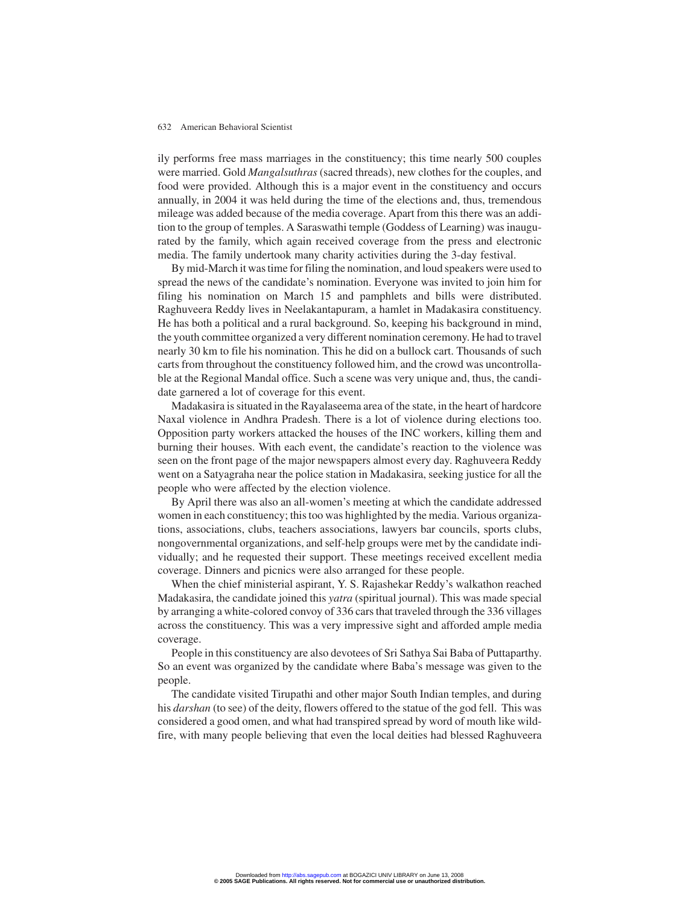### 632 American Behavioral Scientist

ily performs free mass marriages in the constituency; this time nearly 500 couples were married. Gold *Mangalsuthras* (sacred threads), new clothes for the couples, and food were provided. Although this is a major event in the constituency and occurs annually, in 2004 it was held during the time of the elections and, thus, tremendous mileage was added because of the media coverage. Apart from this there was an addition to the group of temples. A Saraswathi temple (Goddess of Learning) was inaugurated by the family, which again received coverage from the press and electronic media. The family undertook many charity activities during the 3-day festival.

By mid-March it was time for filing the nomination, and loud speakers were used to spread the news of the candidate's nomination. Everyone was invited to join him for filing his nomination on March 15 and pamphlets and bills were distributed. Raghuveera Reddy lives in Neelakantapuram, a hamlet in Madakasira constituency. He has both a political and a rural background. So, keeping his background in mind, the youth committee organized a very different nomination ceremony. He had to travel nearly 30 km to file his nomination. This he did on a bullock cart. Thousands of such carts from throughout the constituency followed him, and the crowd was uncontrollable at the Regional Mandal office. Such a scene was very unique and, thus, the candidate garnered a lot of coverage for this event.

Madakasira is situated in the Rayalaseema area of the state, in the heart of hardcore Naxal violence in Andhra Pradesh. There is a lot of violence during elections too. Opposition party workers attacked the houses of the INC workers, killing them and burning their houses. With each event, the candidate's reaction to the violence was seen on the front page of the major newspapers almost every day. Raghuveera Reddy went on a Satyagraha near the police station in Madakasira, seeking justice for all the people who were affected by the election violence.

By April there was also an all-women's meeting at which the candidate addressed women in each constituency; this too was highlighted by the media. Various organizations, associations, clubs, teachers associations, lawyers bar councils, sports clubs, nongovernmental organizations, and self-help groups were met by the candidate individually; and he requested their support. These meetings received excellent media coverage. Dinners and picnics were also arranged for these people.

When the chief ministerial aspirant, Y. S. Rajashekar Reddy's walkathon reached Madakasira, the candidate joined this *yatra* (spiritual journal). This was made special by arranging a white-colored convoy of 336 cars that traveled through the 336 villages across the constituency. This was a very impressive sight and afforded ample media coverage.

People in this constituency are also devotees of Sri Sathya Sai Baba of Puttaparthy. So an event was organized by the candidate where Baba's message was given to the people.

The candidate visited Tirupathi and other major South Indian temples, and during his *darshan* (to see) of the deity, flowers offered to the statue of the god fell. This was considered a good omen, and what had transpired spread by word of mouth like wildfire, with many people believing that even the local deities had blessed Raghuveera